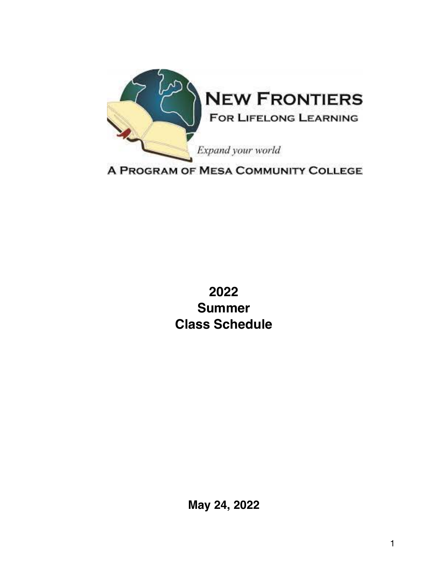

**2022 Summer Class Schedule**

**May 24, 2022**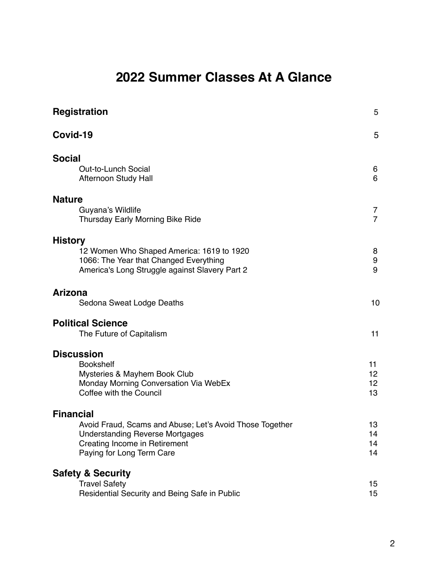# **2022 Summer Classes At A Glance**

| <b>Registration</b>                                                                      | 5                   |
|------------------------------------------------------------------------------------------|---------------------|
| Covid-19                                                                                 | 5                   |
| <b>Social</b><br>Out-to-Lunch Social                                                     | 6                   |
| Afternoon Study Hall                                                                     | 6                   |
| <b>Nature</b>                                                                            |                     |
| Guyana's Wildlife<br>Thursday Early Morning Bike Ride                                    | 7<br>$\overline{7}$ |
| <b>History</b>                                                                           |                     |
| 12 Women Who Shaped America: 1619 to 1920                                                | 8                   |
| 1066: The Year that Changed Everything<br>America's Long Struggle against Slavery Part 2 | 9<br>9              |
| <b>Arizona</b>                                                                           |                     |
| Sedona Sweat Lodge Deaths                                                                | 10                  |
| <b>Political Science</b><br>The Future of Capitalism                                     | 11                  |
| <b>Discussion</b>                                                                        |                     |
| <b>Bookshelf</b>                                                                         | 11                  |
| Mysteries & Mayhem Book Club                                                             | 12 <sub>2</sub>     |
| Monday Morning Conversation Via WebEx                                                    | 12 <sub>2</sub>     |
| Coffee with the Council                                                                  | 13                  |
| <b>Financial</b>                                                                         |                     |
| Avoid Fraud, Scams and Abuse; Let's Avoid Those Together                                 | 13                  |
| <b>Understanding Reverse Mortgages</b><br>Creating Income in Retirement                  | 14<br>14            |
| Paying for Long Term Care                                                                | 14                  |
| <b>Safety &amp; Security</b>                                                             |                     |
| <b>Travel Safety</b>                                                                     | 15                  |
| Residential Security and Being Safe in Public                                            | 15                  |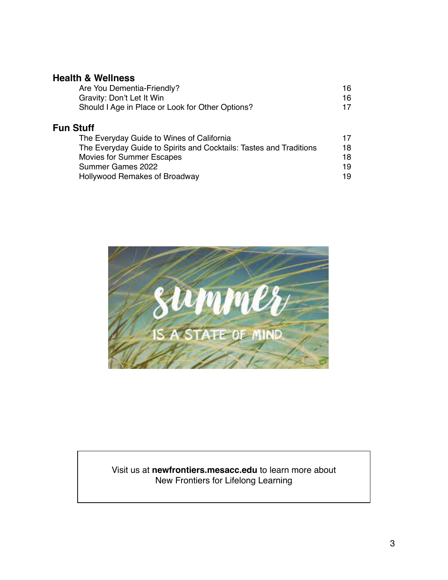#### **Health & Wellness**

| Are You Dementia-Friendly?                       | 16 |
|--------------------------------------------------|----|
| Gravity: Don't Let It Win                        | 16 |
| Should I Age in Place or Look for Other Options? | 17 |

# **Fun Stuff**

| The Everyday Guide to Wines of California                          | 17 |
|--------------------------------------------------------------------|----|
| The Everyday Guide to Spirits and Cocktails: Tastes and Traditions | 18 |
| Movies for Summer Escapes                                          | 18 |
| Summer Games 2022                                                  | 19 |
| Hollywood Remakes of Broadway                                      | 19 |



#### Visit us at **newfrontiers.mesacc.edu** to learn more about New Frontiers for Lifelong Learning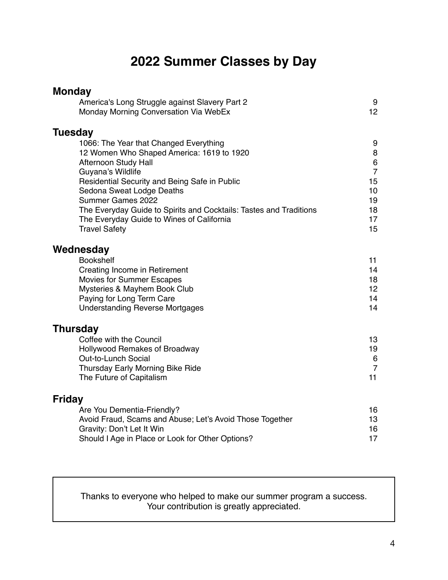# **2022 Summer Classes by Day**

| <b>Monday</b>                                                                           |                      |
|-----------------------------------------------------------------------------------------|----------------------|
| America's Long Struggle against Slavery Part 2<br>Monday Morning Conversation Via WebEx | 9<br>12              |
| <b>Tuesday</b>                                                                          |                      |
| 1066: The Year that Changed Everything<br>12 Women Who Shaped America: 1619 to 1920     | 9<br>8               |
| Afternoon Study Hall                                                                    | $\,6$                |
| Guyana's Wildlife                                                                       | $\overline{7}$       |
| Residential Security and Being Safe in Public                                           | 15                   |
| Sedona Sweat Lodge Deaths<br>Summer Games 2022                                          | 10<br>19             |
| The Everyday Guide to Spirits and Cocktails: Tastes and Traditions                      | 18                   |
| The Everyday Guide to Wines of California                                               | 17                   |
| <b>Travel Safety</b>                                                                    | 15                   |
| Wednesday                                                                               |                      |
| <b>Bookshelf</b>                                                                        | 11                   |
| Creating Income in Retirement                                                           | 14                   |
| Movies for Summer Escapes<br>Mysteries & Mayhem Book Club                               | 18<br>12             |
| Paying for Long Term Care                                                               | 14                   |
| <b>Understanding Reverse Mortgages</b>                                                  | 14                   |
| <b>Thursday</b>                                                                         |                      |
| Coffee with the Council                                                                 | 13                   |
| Hollywood Remakes of Broadway                                                           | 19                   |
| Out-to-Lunch Social                                                                     | $6\phantom{1}6$      |
| Thursday Early Morning Bike Ride<br>The Future of Capitalism                            | $\overline{7}$<br>11 |
|                                                                                         |                      |
| <b>Friday</b><br>Are You Dementia-Friendly?                                             | 16                   |
| Avoid Fraud, Scams and Abuse; Let's Avoid Those Together                                | 13                   |
| Gravity: Don't Let It Win                                                               | 16                   |
| Should I Age in Place or Look for Other Options?                                        | 17                   |

Thanks to everyone who helped to make our summer program a success. Your contribution is greatly appreciated.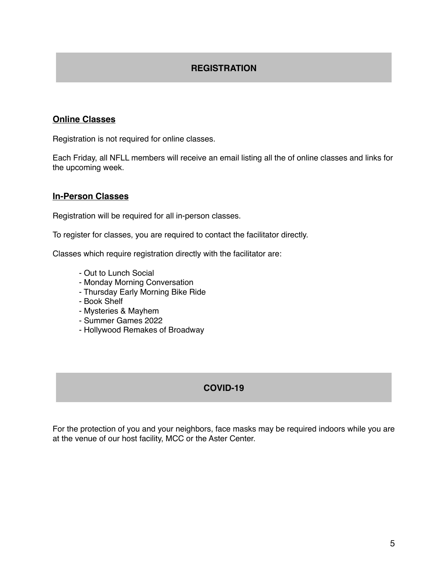#### **REGISTRATION**

#### **Online Classes**

Registration is not required for online classes.

Each Friday, all NFLL members will receive an email listing all the of online classes and links for the upcoming week.

#### **In-Person Classes**

Registration will be required for all in-person classes.

To register for classes, you are required to contact the facilitator directly.

Classes which require registration directly with the facilitator are:

- Out to Lunch Social
- Monday Morning Conversation
- Thursday Early Morning Bike Ride
- Book Shelf
- Mysteries & Mayhem
- Summer Games 2022
- Hollywood Remakes of Broadway

#### **COVID-19**

For the protection of you and your neighbors, face masks may be required indoors while you are at the venue of our host facility, MCC or the Aster Center.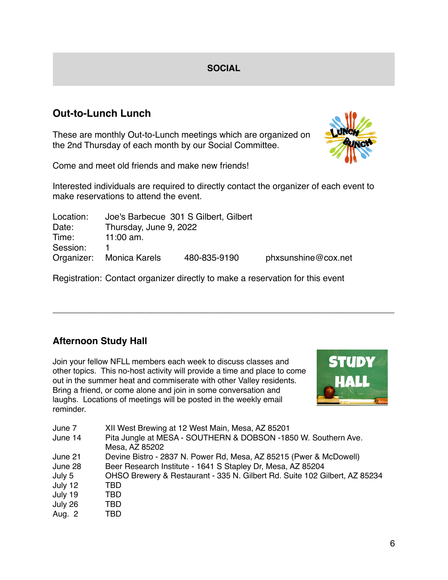## **SOCIAL**

# **Out-to-Lunch Lunch**

These are monthly Out-to-Lunch meetings which are organized on the 2nd Thursday of each month by our Social Committee.



Come and meet old friends and make new friends!

Interested individuals are required to directly contact the organizer of each event to make reservations to attend the event.

| Location: |                          | Joe's Barbecue 301 S Gilbert, Gilbert |                     |
|-----------|--------------------------|---------------------------------------|---------------------|
| Date:     | Thursday, June 9, 2022   |                                       |                     |
| Time:     | 11:00 $am.$              |                                       |                     |
| Session:  |                          |                                       |                     |
|           | Organizer: Monica Karels | 480-835-9190                          | phxsunshine@cox.net |

Registration: Contact organizer directly to make a reservation for this event

\_\_\_\_\_\_\_\_\_\_\_\_\_\_\_\_\_\_\_\_\_\_\_\_\_\_\_\_\_\_\_\_\_\_\_\_\_\_\_\_\_\_\_\_\_\_\_\_\_\_\_\_\_\_\_\_\_\_\_\_\_\_\_\_\_\_\_\_\_\_

# **Afternoon Study Hall**

Join your fellow NFLL members each week to discuss classes and other topics. This no-host activity will provide a time and place to come out in the summer heat and commiserate with other Valley residents. Bring a friend, or come alone and join in some conversation and laughs. Locations of meetings will be posted in the weekly email reminder.



| June 7  | XII West Brewing at 12 West Main, Mesa, AZ 85201                           |
|---------|----------------------------------------------------------------------------|
| June 14 | Pita Jungle at MESA - SOUTHERN & DOBSON -1850 W. Southern Ave.             |
|         | Mesa, AZ 85202                                                             |
| June 21 | Devine Bistro - 2837 N. Power Rd, Mesa, AZ 85215 (Pwer & McDowell)         |
| June 28 | Beer Research Institute - 1641 S Stapley Dr, Mesa, AZ 85204                |
| July 5  | OHSO Brewery & Restaurant - 335 N. Gilbert Rd. Suite 102 Gilbert, AZ 85234 |
| July 12 | TBD.                                                                       |
| July 19 | TBD.                                                                       |
| July 26 | TBD                                                                        |
| Aug. 2  | TBD                                                                        |
|         |                                                                            |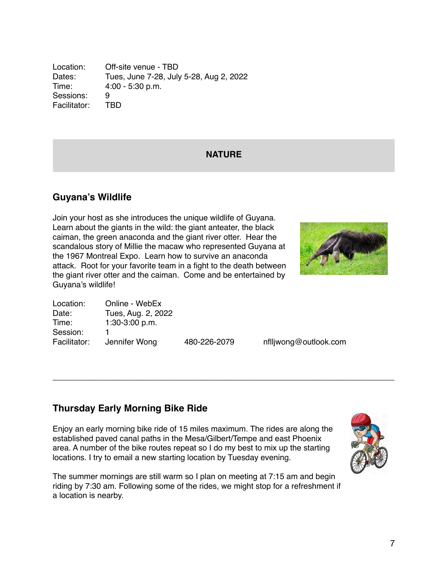Location: Off-site venue - TBD Dates: Tues, June 7-28, July 5-28, Aug 2, 2022 Time: 4:00 - 5:30 p.m. Sessions: 9 Facilitator: TBD

#### **NATURE**

## **Guyana's Wildlife**

Join your host as she introduces the unique wildlife of Guyana. Learn about the giants in the wild: the giant anteater, the black caiman, the green anaconda and the giant river otter. Hear the scandalous story of Millie the macaw who represented Guyana at the 1967 Montreal Expo. Learn how to survive an anaconda attack. Root for your favorite team in a fight to the death between the giant river otter and the caiman. Come and be entertained by Guyana's wildlife!



| Location:    | Online - WebEx     |              |
|--------------|--------------------|--------------|
| Date:        | Tues, Aug. 2, 2022 |              |
| Time:        | $1:30-3:00 p.m.$   |              |
| Session:     |                    |              |
| Facilitator: | Jennifer Wong      | 480-226-2079 |

nflljwong@outlook.com

## **Thursday Early Morning Bike Ride**

Enjoy an early morning bike ride of 15 miles maximum. The rides are along the established paved canal paths in the Mesa/Gilbert/Tempe and east Phoenix area. A number of the bike routes repeat so I do my best to mix up the starting locations. I try to email a new starting location by Tuesday evening.

\_\_\_\_\_\_\_\_\_\_\_\_\_\_\_\_\_\_\_\_\_\_\_\_\_\_\_\_\_\_\_\_\_\_\_\_\_\_\_\_\_\_\_\_\_\_\_\_\_\_\_\_\_\_\_\_\_\_\_\_\_\_\_\_\_\_\_\_\_\_

The summer mornings are still warm so I plan on meeting at 7:15 am and begin riding by 7:30 am. Following some of the rides, we might stop for a refreshment if a location is nearby.

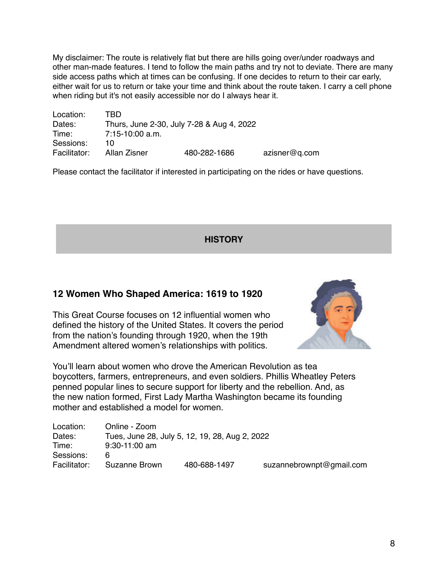My disclaimer: The route is relatively flat but there are hills going over/under roadways and other man-made features. I tend to follow the main paths and try not to deviate. There are many side access paths which at times can be confusing. If one decides to return to their car early, either wait for us to return or take your time and think about the route taken. I carry a cell phone when riding but it's not easily accessible nor do I always hear it.

| Location:    | TRD               |                                           |               |
|--------------|-------------------|-------------------------------------------|---------------|
| Dates:       |                   | Thurs, June 2-30, July 7-28 & Aug 4, 2022 |               |
| Time:        | $7:15-10:00$ a.m. |                                           |               |
| Sessions:    | 10                |                                           |               |
| Facilitator: | Allan Zisner      | 480-282-1686                              | azisner@q.com |

Please contact the facilitator if interested in participating on the rides or have questions.

**HISTORY**

#### **12 Women Who Shaped America: 1619 to 1920**

This Great Course focuses on 12 influential women who defined the history of the United States. It covers the period from the nation's founding through 1920, when the 19th Amendment altered women's relationships with politics.



You'll learn about women who drove the American Revolution as tea boycotters, farmers, entrepreneurs, and even soldiers. Phillis Wheatley Peters penned popular lines to secure support for liberty and the rebellion. And, as the new nation formed, First Lady Martha Washington became its founding mother and established a model for women.

| Location:    | Online - Zoom   |                                                |                          |
|--------------|-----------------|------------------------------------------------|--------------------------|
| Dates:       |                 | Tues, June 28, July 5, 12, 19, 28, Aug 2, 2022 |                          |
| Time:        | $9:30-11:00$ am |                                                |                          |
| Sessions:    |                 |                                                |                          |
| Facilitator: | Suzanne Brown   | 480-688-1497                                   | suzannebrownpt@gmail.com |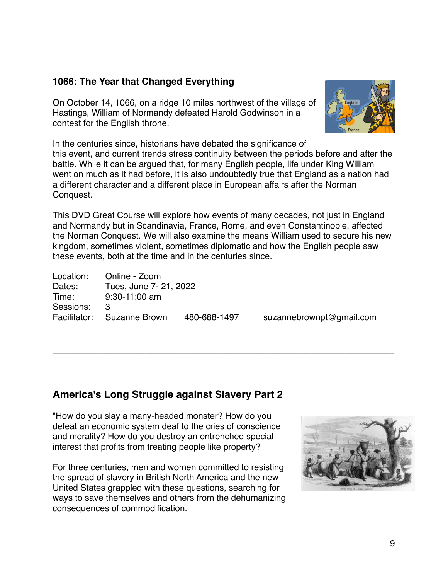## **1066: The Year that Changed Everything**

On October 14, 1066, on a ridge 10 miles northwest of the village of Hastings, William of Normandy defeated Harold Godwinson in a contest for the English throne.



In the centuries since, historians have debated the significance of this event, and current trends stress continuity between the periods before and after the battle. While it can be argued that, for many English people, life under King William went on much as it had before, it is also undoubtedly true that England as a nation had a different character and a different place in European affairs after the Norman Conquest.

This DVD Great Course will explore how events of many decades, not just in England and Normandy but in Scandinavia, France, Rome, and even Constantinople, affected the Norman Conquest. We will also examine the means William used to secure his new kingdom, sometimes violent, sometimes diplomatic and how the English people saw these events, both at the time and in the centuries since.

\_\_\_\_\_\_\_\_\_\_\_\_\_\_\_\_\_\_\_\_\_\_\_\_\_\_\_\_\_\_\_\_\_\_\_\_\_\_\_\_\_\_\_\_\_\_\_\_\_\_\_\_\_\_\_\_\_\_\_\_\_\_\_\_\_\_\_\_\_\_

Location: Online - Zoom Dates: Tues, June 7- 21, 2022 Time: 9:30-11:00 am Sessions: 3 Facilitator: Suzanne Brown 480-688-1497 suzannebrownpt@gmail.com

## **America's Long Struggle against Slavery Part 2**

"How do you slay a many-headed monster? How do you defeat an economic system deaf to the cries of conscience and morality? How do you destroy an entrenched special interest that profits from treating people like property?

For three centuries, men and women committed to resisting the spread of slavery in British North America and the new United States grappled with these questions, searching for ways to save themselves and others from the dehumanizing consequences of commodification.

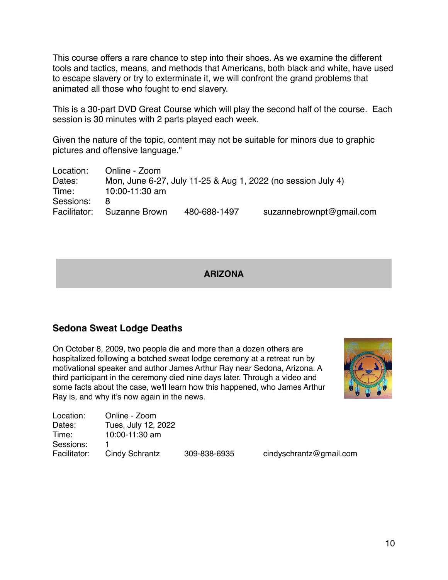This course offers a rare chance to step into their shoes. As we examine the different tools and tactics, means, and methods that Americans, both black and white, have used to escape slavery or try to exterminate it, we will confront the grand problems that animated all those who fought to end slavery.

This is a 30-part DVD Great Course which will play the second half of the course. Each session is 30 minutes with 2 parts played each week.

Given the nature of the topic, content may not be suitable for minors due to graphic pictures and offensive language."

| Location:    | Online - Zoom  |              |                                                              |
|--------------|----------------|--------------|--------------------------------------------------------------|
| Dates:       |                |              | Mon, June 6-27, July 11-25 & Aug 1, 2022 (no session July 4) |
| Time:        | 10:00-11:30 am |              |                                                              |
| Sessions:    | 8              |              |                                                              |
| Facilitator: | Suzanne Brown  | 480-688-1497 | suzannebrownpt@gmail.com                                     |

#### **ARIZONA**

#### **Sedona Sweat Lodge Deaths**

On October 8, 2009, two people die and more than a dozen others are hospitalized following a botched sweat lodge ceremony at a retreat run by motivational speaker and author James Arthur Ray near Sedona, Arizona. A third participant in the ceremony died nine days later. Through a video and some facts about the case, we'll learn how this happened, who James Arthur Ray is, and why it's now again in the news.



| Location:    | Online - Zoom       |              |                         |
|--------------|---------------------|--------------|-------------------------|
| Dates:       | Tues, July 12, 2022 |              |                         |
| Time:        | 10:00-11:30 am      |              |                         |
| Sessions:    |                     |              |                         |
| Facilitator: | Cindy Schrantz      | 309-838-6935 | cindyschrantz@gmail.com |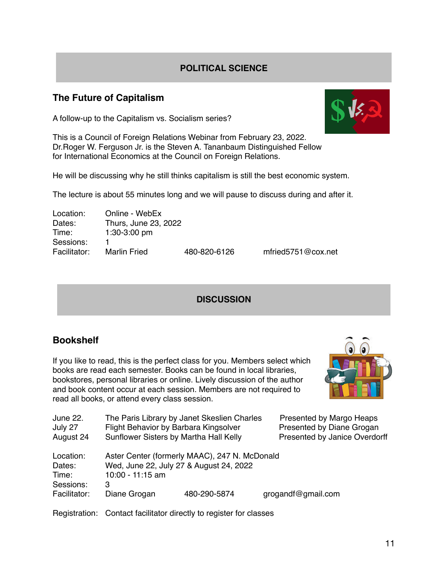## **POLITICAL SCIENCE**

## **The Future of Capitalism**

A follow-up to the Capitalism vs. Socialism series?

This is a Council of Foreign Relations Webinar from February 23, 2022. Dr.Roger W. Ferguson Jr. is the Steven A. Tananbaum Distinguished Fellow for International Economics at the Council on Foreign Relations.

He will be discussing why he still thinks capitalism is still the best economic system.

The lecture is about 55 minutes long and we will pause to discuss during and after it.

| Location:    | Online - WebEx       |
|--------------|----------------------|
| Dates:       | Thurs, June 23, 2022 |
| Time:        | 1:30-3:00 pm         |
| Sessions:    | 1                    |
| Facilitator: | <b>Marlin Fried</b>  |
|              |                      |

Facilitator: Marlin Fried 480-820-6126 mfried5751@cox.net

#### **DISCUSSION**

#### **Bookshelf**

If you like to read, this is the perfect class for you. Members select which books are read each semester. Books can be found in local libraries, bookstores, personal libraries or online. Lively discussion of the author and book content occur at each session. Members are not required to read all books, or attend every class session.



June 22. The Paris Library by Janet Skeslien Charles Presented by Margo Heaps July 27 Flight Behavior by Barbara Kingsolver Presented by Diane Grogan August 24 Sunflower Sisters by Martha Hall Kelly Presented by Janice Overdorff

| Location:<br>Dates:                | Wed, June 22, July 27 & August 24, 2022 | Aster Center (formerly MAAC), 247 N. McDonald |                    |
|------------------------------------|-----------------------------------------|-----------------------------------------------|--------------------|
| Time:<br>Sessions:<br>Facilitator: | $10:00 - 11:15$ am<br>З<br>Diane Grogan | 480-290-5874                                  | grogandf@gmail.com |

Registration: Contact facilitator directly to register for classes

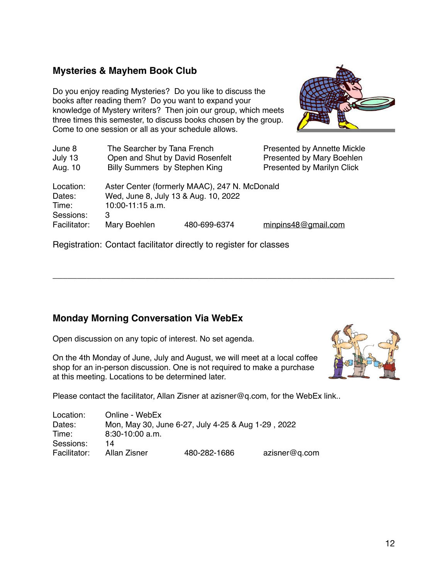#### **Mysteries & Mayhem Book Club**

Do you enjoy reading Mysteries? Do you like to discuss the books after reading them? Do you want to expand your knowledge of Mystery writers? Then join our group, which meets three times this semester, to discuss books chosen by the group. Come to one session or all as your schedule allows.



| June 8       | The Searcher by Tana French          |                                               | <b>Presented by Annette Mickle</b> |
|--------------|--------------------------------------|-----------------------------------------------|------------------------------------|
| July 13      | Open and Shut by David Rosenfelt     |                                               | Presented by Mary Boehlen          |
| Aug. 10      | Billy Summers by Stephen King        |                                               | <b>Presented by Marilyn Click</b>  |
| Location:    |                                      | Aster Center (formerly MAAC), 247 N. McDonald |                                    |
| Dates:       | Wed, June 8, July 13 & Aug. 10, 2022 |                                               |                                    |
| Time:        | 10:00-11:15 a.m.                     |                                               |                                    |
| Sessions:    | 3                                    |                                               |                                    |
| Facilitator: | Mary Boehlen                         | 480-699-6374                                  | minpins48@gmail.com                |

\_\_\_\_\_\_\_\_\_\_\_\_\_\_\_\_\_\_\_\_\_\_\_\_\_\_\_\_\_\_\_\_\_\_\_\_\_\_\_\_\_\_\_\_\_\_\_\_\_\_\_\_\_\_\_\_\_\_\_\_\_\_\_\_\_\_\_\_\_\_

Registration: Contact facilitator directly to register for classes

## **Monday Morning Conversation Via WebEx**

Open discussion on any topic of interest. No set agenda.

On the 4th Monday of June, July and August, we will meet at a local coffee shop for an in-person discussion. One is not required to make a purchase at this meeting. Locations to be determined later.



Please contact the facilitator, Allan Zisner at azisner@q.com, for the WebEx link..

| Location:    | Online - WebEx    |                                                    |               |
|--------------|-------------------|----------------------------------------------------|---------------|
| Dates:       |                   | Mon, May 30, June 6-27, July 4-25 & Aug 1-29, 2022 |               |
| Time:        | $8:30-10:00$ a.m. |                                                    |               |
| Sessions:    | 14                |                                                    |               |
| Facilitator: | Allan Zisner      | 480-282-1686                                       | azisner@q.com |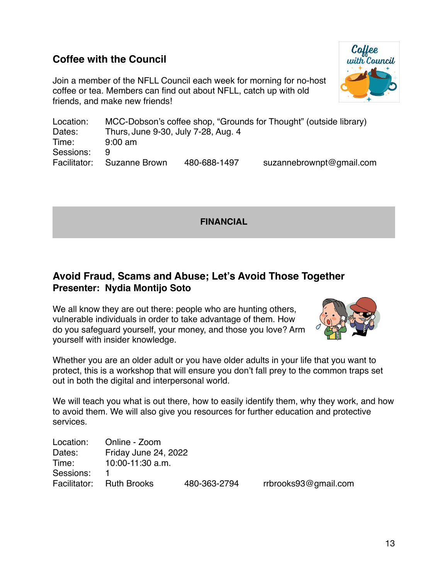# **Coffee with the Council**

Join a member of the NFLL Council each week for morning for no-host coffee or tea. Members can find out about NFLL, catch up with old friends, and make new friends!



Location: MCC-Dobson's coffee shop, "Grounds for Thought" (outside library) Dates: Thurs, June 9-30, July 7-28, Aug. 4 Time: 9:00 am Sessions: 9 Facilitator: Suzanne Brown 480-688-1497 suzannebrownpt@gmail.com

**FINANCIAL**

# **Avoid Fraud, Scams and Abuse; Let's Avoid Those Together Presenter: Nydia Montijo Soto**

We all know they are out there: people who are hunting others, vulnerable individuals in order to take advantage of them. How do you safeguard yourself, your money, and those you love? Arm yourself with insider knowledge.



Whether you are an older adult or you have older adults in your life that you want to protect, this is a workshop that will ensure you don't fall prey to the common traps set out in both the digital and interpersonal world.

We will teach you what is out there, how to easily identify them, why they work, and how to avoid them. We will also give you resources for further education and protective services.

| Location: | Online - Zoom            |              |                      |
|-----------|--------------------------|--------------|----------------------|
| Dates:    | Friday June 24, 2022     |              |                      |
| Time:     | $10:00-11:30$ a.m.       |              |                      |
| Sessions: |                          |              |                      |
|           | Facilitator: Ruth Brooks | 480-363-2794 | rrbrooks93@gmail.com |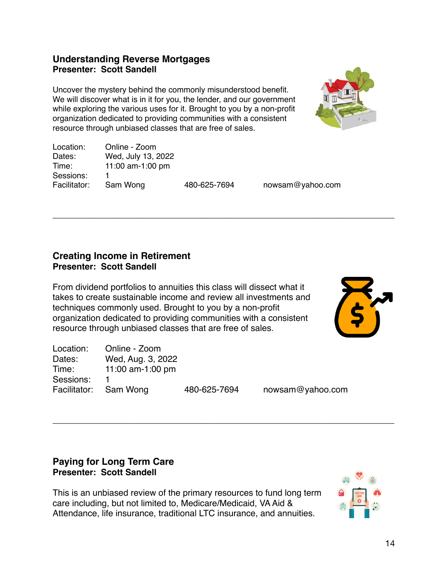#### **Understanding Reverse Mortgages Presenter: Scott Sandell**

Uncover the mystery behind the commonly misunderstood benefit. We will discover what is in it for you, the lender, and our government while exploring the various uses for it. Brought to you by a non-profit organization dedicated to providing communities with a consistent resource through unbiased classes that are free of sales.



| Online - Zoom      |              |                  |
|--------------------|--------------|------------------|
| Wed, July 13, 2022 |              |                  |
| 11:00 am-1:00 pm   |              |                  |
|                    |              |                  |
| Sam Wong           | 480-625-7694 | nowsam@yahoo.com |
|                    |              |                  |

\_\_\_\_\_\_\_\_\_\_\_\_\_\_\_\_\_\_\_\_\_\_\_\_\_\_\_\_\_\_\_\_\_\_\_\_\_\_\_\_\_\_\_\_\_\_\_\_\_\_\_\_\_\_\_\_\_\_\_\_\_\_\_\_\_\_\_\_\_\_

#### **Creating Income in Retirement Presenter: Scott Sandell**

From dividend portfolios to annuities this class will dissect what it takes to create sustainable income and review all investments and techniques commonly used. Brought to you by a non-profit organization dedicated to providing communities with a consistent resource through unbiased classes that are free of sales.



| Location:             | Online - Zoom     |              |                  |
|-----------------------|-------------------|--------------|------------------|
| Dates:                | Wed, Aug. 3, 2022 |              |                  |
| Time:                 | 11:00 am-1:00 pm  |              |                  |
| Sessions:             |                   |              |                  |
| Facilitator: Sam Wong |                   | 480-625-7694 | nowsam@yahoo.com |

\_\_\_\_\_\_\_\_\_\_\_\_\_\_\_\_\_\_\_\_\_\_\_\_\_\_\_\_\_\_\_\_\_\_\_\_\_\_\_\_\_\_\_\_\_\_\_\_\_\_\_\_\_\_\_\_\_\_\_\_\_\_\_\_\_\_\_\_\_\_

## **Paying for Long Term Care Presenter: Scott Sandell**

This is an unbiased review of the primary resources to fund long term care including, but not limited to, Medicare/Medicaid, VA Aid & Attendance, life insurance, traditional LTC insurance, and annuities.

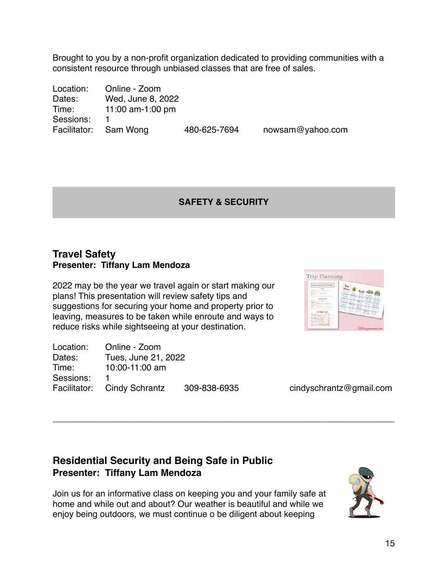Brought to you by a non-profit organization dedicated to providing communities with a consistent resource through unbiased classes that are free of sales.

| Online - Zoom         |              |                  |
|-----------------------|--------------|------------------|
| Wed, June 8, 2022     |              |                  |
| 11:00 am-1:00 pm      |              |                  |
|                       |              |                  |
| Facilitator: Sam Wong | 480-625-7694 | nowsam@yahoo.com |
|                       |              |                  |

## **SAFETY & SECURITY**

\_\_\_\_\_\_\_\_\_\_\_\_\_\_\_\_\_\_\_\_\_\_\_\_\_\_\_\_\_\_\_\_\_\_\_\_\_\_\_\_\_\_\_\_\_\_\_\_\_\_\_\_\_\_\_\_\_\_\_\_\_\_\_\_\_\_\_\_\_\_

## **Travel Safety Presenter: Tiffany Lam Mendoza**

2022 may be the year we travel again or start making our plans! This presentation will review safety tips and suggestions for securing your home and property prior to leaving, measures to be taken while enroute and ways to reduce risks while sightseeing at your destination.

| Location: | Online - Zoom               |              |
|-----------|-----------------------------|--------------|
| Dates:    | Tues, June 21, 2022         |              |
| Time:     | 10:00-11:00 am              |              |
| Sessions: |                             |              |
|           | Facilitator: Cindy Schrantz | 309-838-6935 |

| Important Alemania Gr Camforestone<br><b>BERRE</b><br><b>CONTRACTOR</b><br>NATION<br>between<br><b>Stewarter Sent </b><br><b>District Gas</b><br><b>Call Color</b> | Ence mersi<br><b>Holly dist</b><br><b>Part Ave</b>                                                                                                                                                                                                                                                                                                                                                                                                       |
|--------------------------------------------------------------------------------------------------------------------------------------------------------------------|----------------------------------------------------------------------------------------------------------------------------------------------------------------------------------------------------------------------------------------------------------------------------------------------------------------------------------------------------------------------------------------------------------------------------------------------------------|
|                                                                                                                                                                    |                                                                                                                                                                                                                                                                                                                                                                                                                                                          |
|                                                                                                                                                                    |                                                                                                                                                                                                                                                                                                                                                                                                                                                          |
|                                                                                                                                                                    |                                                                                                                                                                                                                                                                                                                                                                                                                                                          |
|                                                                                                                                                                    | <b>Senior Life</b><br><b>RELEA</b><br><b>No.com</b>                                                                                                                                                                                                                                                                                                                                                                                                      |
|                                                                                                                                                                    | <b>Part Ave</b><br><b>Section Com</b><br>$\frac{1}{2} \sum_{i=1}^{n} \frac{1}{2} \sum_{i=1}^{n} \frac{1}{2} \sum_{i=1}^{n} \frac{1}{2} \sum_{i=1}^{n} \frac{1}{2} \sum_{i=1}^{n} \frac{1}{2} \sum_{i=1}^{n} \frac{1}{2} \sum_{i=1}^{n} \frac{1}{2} \sum_{i=1}^{n} \frac{1}{2} \sum_{i=1}^{n} \frac{1}{2} \sum_{i=1}^{n} \frac{1}{2} \sum_{i=1}^{n} \frac{1}{2} \sum_{i=1}^{n} \frac{1}{2} \sum_{i=1}^{n$<br><b>MARKET</b><br><b>Service</b><br>Anti-View |
| <b>Contract Contract</b><br>TRANSATUREGO                                                                                                                           | <b>Revision</b><br><b>Coldwards</b><br><b>Service</b><br><b>Garrison</b><br><b>Sec. Co.</b><br>North<br>The Links                                                                                                                                                                                                                                                                                                                                        |
| -<br>The American Corp.                                                                                                                                            | <b>Name of D</b><br><b>PRIVATE</b><br><b>Grant</b><br><b>Marine</b><br><b>Miller</b><br><b>ANTIQUE LIGHT</b>                                                                                                                                                                                                                                                                                                                                             |
| <b>September 19</b><br>hand  Seattles Free<br><b>Buring Free</b>                                                                                                   | <b>Pit South Corp.</b><br><b>No. Inc.</b><br><b>Notice may</b><br>Ago and<br><b>Recipient</b><br><b>Att List</b>                                                                                                                                                                                                                                                                                                                                         |
| <b>PROFITA DEL</b>                                                                                                                                                 | <b>Barriot</b><br><b>Milkery Bar</b><br><b>FOULKS</b><br>St. all<br><b>America</b><br><b>Since</b><br><b>Recipients</b>                                                                                                                                                                                                                                                                                                                                  |
| <b>Build Committee Forms</b><br><b>Arrival Form</b><br>sec.                                                                                                        | <b>Antique</b><br><b>SALINER DOGS</b><br><b>Miller</b><br><b>Burney</b><br><b>And British</b><br><b>Strate</b><br>The Ligar                                                                                                                                                                                                                                                                                                                              |
|                                                                                                                                                                    | <b>TRAIN</b><br><b>NELLER</b><br>Service.<br><b>Stringer</b><br><b>Service</b>                                                                                                                                                                                                                                                                                                                                                                           |
| blockbutccool                                                                                                                                                      | <b>POST END LINES</b><br><b>Patricia</b><br><b>Northern</b><br><b>STORY</b>                                                                                                                                                                                                                                                                                                                                                                              |
| <b>MA CONT</b><br><b>SALLER</b>                                                                                                                                    | <b>Part Street Ford</b><br>Ann Ave                                                                                                                                                                                                                                                                                                                                                                                                                       |
| <b>CONTRACTOR</b><br><b>Page 1988</b>                                                                                                                              |                                                                                                                                                                                                                                                                                                                                                                                                                                                          |
| <b>Single Comment</b><br>promoted &                                                                                                                                |                                                                                                                                                                                                                                                                                                                                                                                                                                                          |
| <b>Real Collect</b>                                                                                                                                                |                                                                                                                                                                                                                                                                                                                                                                                                                                                          |
| <b>London Ave. 4</b><br><b>Contract Contract</b><br><b>Red County</b><br><b>SHARE</b>                                                                              |                                                                                                                                                                                                                                                                                                                                                                                                                                                          |
| <b>SHELL</b>                                                                                                                                                       |                                                                                                                                                                                                                                                                                                                                                                                                                                                          |

cindy schrantz@gmail.com

# **Residential Security and Being Safe in Public Presenter: Tiffany Lam Mendoza**

Join us for an informative class on keeping you and your family safe at home and while out and about? Our weather is beautiful and while we enjoy being outdoors, we must continue o be diligent about keeping

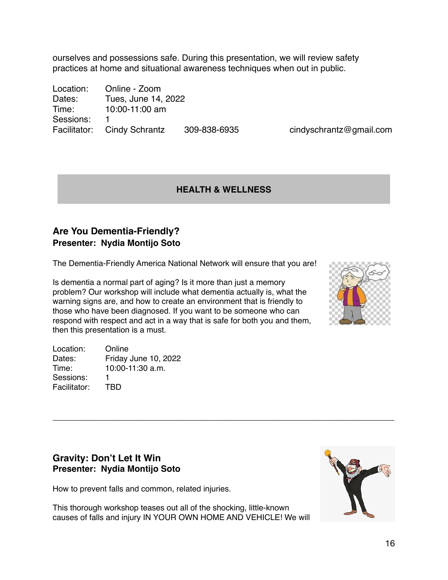ourselves and possessions safe. During this presentation, we will review safety practices at home and situational awareness techniques when out in public.

Location: Online - Zoom Dates: Tues, June 14, 2022 Time: 10:00-11:00 am Sessions: 1 Facilitator: Cindy Schrantz 309-838-6935 cindyschrantz@gmail.com

#### **HEALTH & WELLNESS**

\_\_\_\_\_\_\_\_\_\_\_\_\_\_\_\_\_\_\_\_\_\_\_\_\_\_\_\_\_\_\_\_\_\_\_\_\_\_\_\_\_\_\_\_\_\_\_\_\_\_\_\_\_\_\_\_\_\_\_\_\_\_\_\_\_\_\_\_\_\_

## **Are You Dementia-Friendly? Presenter: Nydia Montijo Soto**

The Dementia-Friendly America National Network will ensure that you are!

Is dementia a normal part of aging? Is it more than just a memory problem? Our workshop will include what dementia actually is, what the warning signs are, and how to create an environment that is friendly to those who have been diagnosed. If you want to be someone who can respond with respect and act in a way that is safe for both you and them, then this presentation is a must.

Location: Online Dates: Friday June 10, 2022 Time: 10:00-11:30 a.m. Sessions: 1 Facilitator: TBD



#### **Gravity: Don't Let It Win Presenter: Nydia Montijo Soto**

How to prevent falls and common, related injuries.

This thorough workshop teases out all of the shocking, little-known causes of falls and injury IN YOUR OWN HOME AND VEHICLE! We will

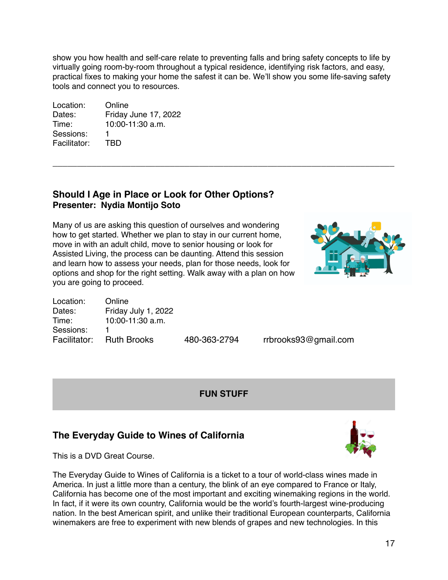show you how health and self-care relate to preventing falls and bring safety concepts to life by virtually going room-by-room throughout a typical residence, identifying risk factors, and easy, practical fixes to making your home the safest it can be. We'll show you some life-saving safety tools and connect you to resources.

\_\_\_\_\_\_\_\_\_\_\_\_\_\_\_\_\_\_\_\_\_\_\_\_\_\_\_\_\_\_\_\_\_\_\_\_\_\_\_\_\_\_\_\_\_\_\_\_\_\_\_\_\_\_\_\_\_\_\_\_\_\_\_\_\_\_\_\_\_\_

Location: Online Dates: Friday June 17, 2022 Time: 10:00-11:30 a.m. Sessions: 1 Facilitator: TBD

#### **Should I Age in Place or Look for Other Options? Presenter: Nydia Montijo Soto**

Many of us are asking this question of ourselves and wondering how to get started. Whether we plan to stay in our current home, move in with an adult child, move to senior housing or look for Assisted Living, the process can be daunting. Attend this session and learn how to assess your needs, plan for those needs, look for options and shop for the right setting. Walk away with a plan on how you are going to proceed.



| Location: | Online                   |         |
|-----------|--------------------------|---------|
| Dates:    | Friday July 1, 2022      |         |
| Time:     | $10:00-11:30$ a.m.       |         |
| Sessions: | п.                       |         |
|           | Facilitator: Ruth Brooks | 480-363 |

Facilitation: *Ruth Brooks93@gmail.com* 

#### **FUN STUFF**

## **The Everyday Guide to Wines of California**

This is a DVD Great Course.

The Everyday Guide to Wines of California is a ticket to a tour of world-class wines made in America. In just a little more than a century, the blink of an eye compared to France or Italy, California has become one of the most important and exciting winemaking regions in the world. In fact, if it were its own country, California would be the world's fourth-largest wine-producing nation. In the best American spirit, and unlike their traditional European counterparts, California winemakers are free to experiment with new blends of grapes and new technologies. In this

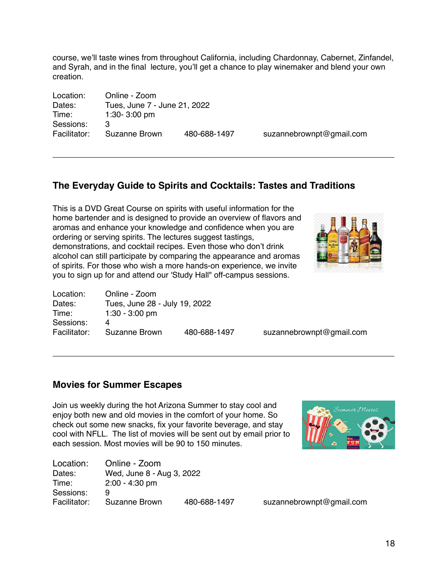course, we'll taste wines from throughout California, including Chardonnay, Cabernet, Zinfandel, and Syrah, and in the final lecture, you'll get a chance to play winemaker and blend your own creation.

\_\_\_\_\_\_\_\_\_\_\_\_\_\_\_\_\_\_\_\_\_\_\_\_\_\_\_\_\_\_\_\_\_\_\_\_\_\_\_\_\_\_\_\_\_\_\_\_\_\_\_\_\_\_\_\_\_\_\_\_\_\_\_\_\_\_\_\_\_\_

\_\_\_\_\_\_\_\_\_\_\_\_\_\_\_\_\_\_\_\_\_\_\_\_\_\_\_\_\_\_\_\_\_\_\_\_\_\_\_\_\_\_\_\_\_\_\_\_\_\_\_\_\_\_\_\_\_\_\_\_\_\_\_\_\_\_\_\_\_\_

| Location:    | Online - Zoom                |              |                          |
|--------------|------------------------------|--------------|--------------------------|
| Dates:       | Tues, June 7 - June 21, 2022 |              |                          |
| Time:        | 1:30-3:00 pm                 |              |                          |
| Sessions:    | З                            |              |                          |
| Facilitator: | Suzanne Brown                | 480-688-1497 | suzannebrownpt@gmail.com |

## **The Everyday Guide to Spirits and Cocktails: Tastes and Traditions**

This is a DVD Great Course on spirits with useful information for the home bartender and is designed to provide an overview of flavors and aromas and enhance your knowledge and confidence when you are ordering or serving spirits. The lectures suggest tastings, demonstrations, and cocktail recipes. Even those who don't drink alcohol can still participate by comparing the appearance and aromas of spirits. For those who wish a more hands-on experience, we invite you to sign up for and attend our 'Study Hall" off-campus sessions.



| Location:    | Online - Zoom                 |              |
|--------------|-------------------------------|--------------|
| Dates:       | Tues, June 28 - July 19, 2022 |              |
| Time:        | $1:30 - 3:00$ pm              |              |
| Sessions:    | 4                             |              |
| Facilitator: | Suzanne Brown                 | 480-688-1497 |
|              |                               |              |

suzanne brown pt@gmail.com

#### **Movies for Summer Escapes**

Join us weekly during the hot Arizona Summer to stay cool and enjoy both new and old movies in the comfort of your home. So check out some new snacks, fix your favorite beverage, and stay cool with NFLL. The list of movies will be sent out by email prior to each session. Most movies will be 90 to 150 minutes.

| Location:    | Online - Zoom             |              |  |
|--------------|---------------------------|--------------|--|
| Dates:       | Wed, June 8 - Aug 3, 2022 |              |  |
| Time:        | $2:00 - 4:30$ pm          |              |  |
| Sessions:    | 9                         |              |  |
| Facilitator: | Suzanne Brown             | 480-688-1497 |  |



suzanne brown pt@gmail.com